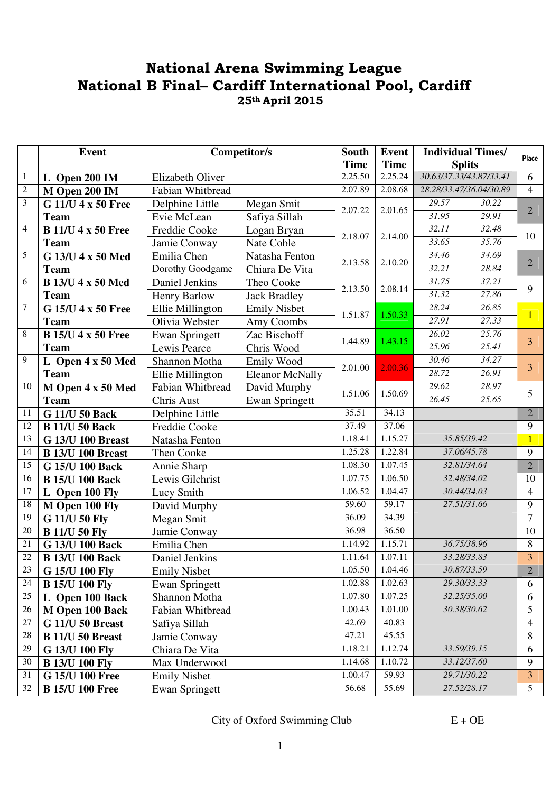## National Arena Swimming League National B Final– Cardiff International Pool, Cardiff 25th April 2015

|                         | <b>Event</b>              |                       | Competitor/s           | South<br><b>Time</b> | <b>Individual Times/</b><br><b>Event</b><br><b>Time</b><br><b>Splits</b> |                         |             | Place          |
|-------------------------|---------------------------|-----------------------|------------------------|----------------------|--------------------------------------------------------------------------|-------------------------|-------------|----------------|
| $\mathbf{1}$            | L Open 200 IM             | Elizabeth Oliver      |                        | 2.25.50              | 2.25.24                                                                  | 30.63/37.33/43.87/33.41 |             | 6              |
| $\sqrt{2}$              | M Open 200 IM             | Fabian Whitbread      |                        | 2.07.89              | 2.08.68                                                                  | 28.28/33.47/36.04/30.89 |             | $\overline{4}$ |
| $\overline{\mathbf{3}}$ | G 11/U 4 x 50 Free        | Delphine Little       | Megan Smit             |                      | 2.01.65                                                                  | 29.57                   | 30.22       | $\overline{2}$ |
|                         | <b>Team</b>               | Evie McLean           | Safiya Sillah          | 2.07.22              |                                                                          | 31.95                   | 29.91       |                |
| $\overline{4}$          | <b>B</b> 11/U 4 x 50 Free | Freddie Cooke         | Logan Bryan            |                      | 2.14.00                                                                  | 32.11                   | 32.48       | 10             |
|                         | <b>Team</b>               | Jamie Conway          | Nate Coble             | 2.18.07              |                                                                          | 33.65                   | 35.76       |                |
| 5                       | G 13/U 4 x 50 Med         | Emilia Chen           | Natasha Fenton         |                      | 2.10.20                                                                  | 34.46                   | 34.69       | $\overline{2}$ |
|                         | <b>Team</b>               | Dorothy Goodgame      | Chiara De Vita         | 2.13.58              |                                                                          | 32.21                   | 28.84       |                |
| 6                       | <b>B</b> 13/U 4 x 50 Med  | Daniel Jenkins        | Theo Cooke             |                      |                                                                          | 31.75                   | 37.21       | 9              |
|                         | <b>Team</b>               | <b>Henry Barlow</b>   | <b>Jack Bradley</b>    | 2.13.50              | 2.08.14                                                                  | 31.32                   | 27.86       |                |
| 7                       | G 15/U 4 x 50 Free        | Ellie Millington      | <b>Emily Nisbet</b>    |                      |                                                                          | 28.24                   | 26.85       | 1              |
|                         | <b>Team</b>               | Olivia Webster        | Amy Coombs             | 1.51.87              | 1.50.33                                                                  | 27.91                   | 27.33       |                |
| 8                       | <b>B</b> 15/U 4 x 50 Free | Ewan Springett        | Zac Bischoff           |                      |                                                                          | 26.02                   | 25.76       | $\overline{3}$ |
|                         | <b>Team</b>               | Lewis Pearce          | Chris Wood             | 1.44.89              | 1.43.15                                                                  | 25.96                   | 25.41       |                |
| 9                       | L Open $4 \times 50$ Med  | Shannon Motha         | Emily Wood             |                      |                                                                          | 30.46                   | 34.27       |                |
|                         | <b>Team</b>               | Ellie Millington      | <b>Eleanor McNally</b> | 2.01.00              | 2.00.36                                                                  | 28.72                   | 26.91       | 3              |
| 10                      | M Open 4 x 50 Med         | Fabian Whitbread      | David Murphy           | 1.51.06              | 1.50.69                                                                  | 29.62                   | 28.97       | 5              |
|                         | <b>Team</b>               | Chris Aust            | Ewan Springett         |                      |                                                                          | 26.45                   | 25.65       |                |
| 11                      | G 11/U 50 Back            | Delphine Little       |                        | 35.51                | 34.13                                                                    |                         |             | $\overline{2}$ |
| 12                      | <b>B</b> 11/U 50 Back     | Freddie Cooke         |                        | 37.49                | 37.06                                                                    |                         |             | 9              |
| 13                      | <b>G 13/U 100 Breast</b>  | Natasha Fenton        |                        | 1.18.41              | 1.15.27                                                                  | 35.85/39.42             |             |                |
| 14                      | <b>B 13/U 100 Breast</b>  | Theo Cooke            |                        | 1.25.28              | 1.22.84                                                                  | 37.06/45.78             |             | 9              |
| 15                      | G 15/U 100 Back           | Annie Sharp           |                        | 1.08.30              | 1.07.45                                                                  | 32.81/34.64             |             | $\overline{2}$ |
| 16                      | <b>B</b> 15/U 100 Back    | Lewis Gilchrist       |                        | 1.07.75              | 1.06.50                                                                  | 32.48/34.02             |             | 10             |
| 17                      | L Open 100 Fly            | Lucy Smith            |                        | 1.06.52              | 1.04.47                                                                  | 30.44/34.03             |             | $\overline{4}$ |
| 18                      | M Open 100 Fly            | David Murphy          |                        | 59.60<br>36.09       | 59.17                                                                    | 27.51/31.66             |             | 9              |
| 19                      | G 11/U 50 Fly             |                       | Megan Smit             |                      | 34.39                                                                    |                         |             | $\overline{7}$ |
| $\overline{20}$         | <b>B 11/U 50 Fly</b>      |                       | Jamie Conway           |                      | 36.50                                                                    |                         |             | 10             |
| 21                      | G 13/U 100 Back           | Emilia Chen           |                        | 1.14.92              | 1.15.71                                                                  | 36.75/38.96             |             | 8              |
| 22                      | <b>B</b> 13/U 100 Back    | Daniel Jenkins        |                        | 1.11.64              | 1.07.11                                                                  | 33.28/33.83             |             | 3 <sup>1</sup> |
| 23                      | G 15/U 100 Fly            | <b>Emily Nisbet</b>   |                        | 1.05.50              | 1.04.46                                                                  | 30.87/33.59             |             | $\overline{2}$ |
| 24                      | <b>B</b> 15/U 100 Fly     | <b>Ewan Springett</b> |                        | 1.02.88              | 1.02.63                                                                  | 29.30/33.33             |             | 6              |
| 25                      | L Open 100 Back           | Shannon Motha         |                        | 1.07.80              | 1.07.25                                                                  | 32.25/35.00             |             | 6              |
| 26                      | M Open 100 Back           | Fabian Whitbread      |                        | 1.00.43              | 1.01.00                                                                  | 30.38/30.62             |             | 5              |
| 27                      | G 11/U 50 Breast          | Safiya Sillah         |                        | 42.69                | 40.83                                                                    |                         |             | 4              |
| 28                      | <b>B</b> 11/U 50 Breast   | Jamie Conway          |                        | 47.21                | 45.55                                                                    |                         |             | 8              |
| 29                      | G 13/U 100 Fly            | Chiara De Vita        |                        | 1.18.21              | 1.12.74                                                                  | 33.59/39.15             |             | 6              |
| 30                      | <b>B 13/U 100 Fly</b>     | Max Underwood         |                        | 1.14.68              | 1.10.72                                                                  | 33.12/37.60             |             | 9              |
| 31                      | G 15/U 100 Free           | <b>Emily Nisbet</b>   |                        | 1.00.47              | 59.93                                                                    | 29.71/30.22             |             | $\overline{3}$ |
| 32                      | <b>B</b> 15/U 100 Free    | Ewan Springett        |                        | 56.68                | 55.69                                                                    |                         | 27.52/28.17 | $\overline{5}$ |

City of Oxford Swimming Club  $E + OE$